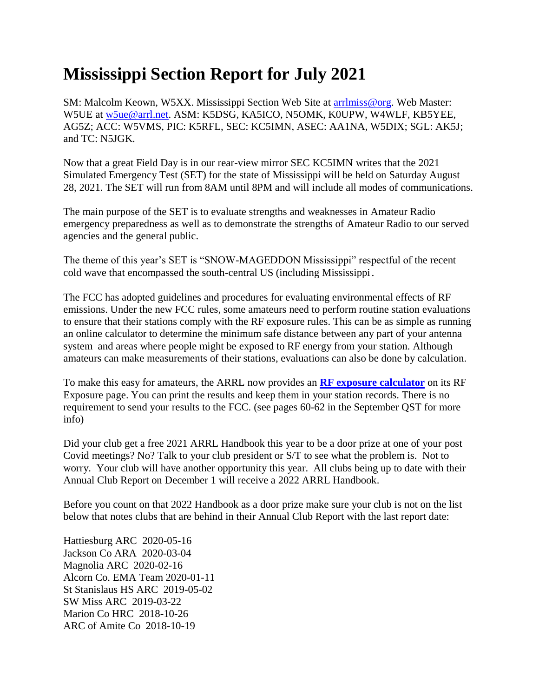## **Mississippi Section Report for July 2021**

SM: Malcolm Keown, W5XX. Mississippi Section Web Site at [arrlmiss@org.](mailto:arrlmiss@org) Web Master: W5UE at [w5ue@arrl.net.](mailto:w5ue@arrl.net) ASM: K5DSG, KA5ICO, N5OMK, K0UPW, W4WLF, KB5YEE, AG5Z; ACC: W5VMS, PIC: K5RFL, SEC: KC5IMN, ASEC: AA1NA, W5DIX; SGL: AK5J; and TC: N5JGK.

Now that a great Field Day is in our rear-view mirror SEC KC5IMN writes that the 2021 Simulated Emergency Test (SET) for the state of Mississippi will be held on Saturday August 28, 2021. The SET will run from 8AM until 8PM and will include all modes of communications.

The main purpose of the SET is to evaluate strengths and weaknesses in Amateur Radio emergency preparedness as well as to demonstrate the strengths of Amateur Radio to our served agencies and the general public.

The theme of this year's SET is "SNOW-MAGEDDON Mississippi" respectful of the recent cold wave that encompassed the south-central US (including Mississippi.

The FCC has adopted guidelines and procedures for evaluating environmental effects of RF emissions. Under the new FCC rules, some amateurs need to perform routine station evaluations to ensure that their stations comply with the RF exposure rules. This can be as simple as running an online calculator to determine the minimum safe distance between any part of your antenna system and areas where people might be exposed to RF energy from your station. Although amateurs can make measurements of their stations, evaluations can also be done by calculation.

To make this easy for amateurs, the ARRL now provides an **[RF exposure calculator](http://arrl.org/rf-exposure-calculator)** on its RF Exposure page. You can print the results and keep them in your station records. There is no requirement to send your results to the FCC. (see pages 60-62 in the September QST for more info)

Did your club get a free 2021 ARRL Handbook this year to be a door prize at one of your post Covid meetings? No? Talk to your club president or S/T to see what the problem is. Not to worry. Your club will have another opportunity this year. All clubs being up to date with their Annual Club Report on December 1 will receive a 2022 ARRL Handbook.

Before you count on that 2022 Handbook as a door prize make sure your club is not on the list below that notes clubs that are behind in their Annual Club Report with the last report date:

Hattiesburg ARC 2020-05-16 Jackson Co ARA 2020-03-04 Magnolia ARC 2020-02-16 Alcorn Co. EMA Team 2020-01-11 St Stanislaus HS ARC 2019-05-02 SW Miss ARC 2019-03-22 Marion Co HRC 2018-10-26 ARC of Amite Co 2018-10-19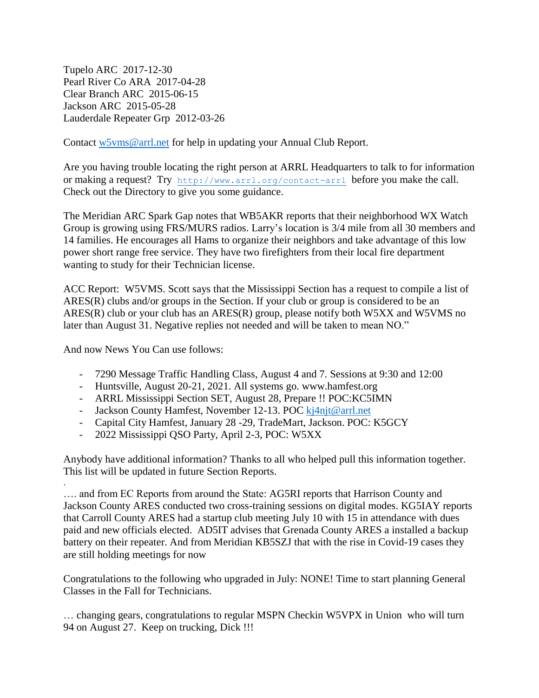Tupelo ARC 2017-12-30 Pearl River Co ARA 2017-04-28 Clear Branch ARC 2015-06-15 Jackson ARC 2015-05-28 Lauderdale Repeater Grp 2012-03-26

Contact [w5vms@arrl.net](mailto:w5vms@arrl.net) for help in updating your Annual Club Report.

Are you having trouble locating the right person at ARRL Headquarters to talk to for information or making a request? Try <http://www.arrl.org/contact-arrl> before you make the call. Check out the Directory to give you some guidance.

The Meridian ARC Spark Gap notes that WB5AKR reports that their neighborhood WX Watch Group is growing using FRS/MURS radios. Larry's location is 3/4 mile from all 30 members and 14 families. He encourages all Hams to organize their neighbors and take advantage of this low power short range free service. They have two firefighters from their local fire department wanting to study for their Technician license.

ACC Report: W5VMS. Scott says that the Mississippi Section has a request to compile a list of ARES(R) clubs and/or groups in the Section. If your club or group is considered to be an ARES(R) club or your club has an ARES(R) group, please notify both W5XX and W5VMS no later than August 31. Negative replies not needed and will be taken to mean NO."

And now News You Can use follows:

.

- 7290 Message Traffic Handling Class, August 4 and 7. Sessions at 9:30 and 12:00
- Huntsville, August 20-21, 2021. All systems go. www.hamfest.org
- ARRL Mississippi Section SET, August 28, Prepare !! POC:KC5IMN
- Jackson County Hamfest, November 12-13. POC [kj4njt@arrl.net](mailto:kj4njt@arrl.net)
- Capital City Hamfest, January 28 -29, TradeMart, Jackson. POC: K5GCY
- 2022 Mississippi QSO Party, April 2-3, POC: W5XX

Anybody have additional information? Thanks to all who helped pull this information together. This list will be updated in future Section Reports.

…. and from EC Reports from around the State: AG5RI reports that Harrison County and Jackson County ARES conducted two cross-training sessions on digital modes. KG5IAY reports that Carroll County ARES had a startup club meeting July 10 with 15 in attendance with dues paid and new officials elected. AD5IT advises that Grenada County ARES a installed a backup battery on their repeater. And from Meridian KB5SZJ that with the rise in Covid-19 cases they are still holding meetings for now

Congratulations to the following who upgraded in July: NONE! Time to start planning General Classes in the Fall for Technicians.

… changing gears, congratulations to regular MSPN Checkin W5VPX in Union who will turn 94 on August 27. Keep on trucking, Dick !!!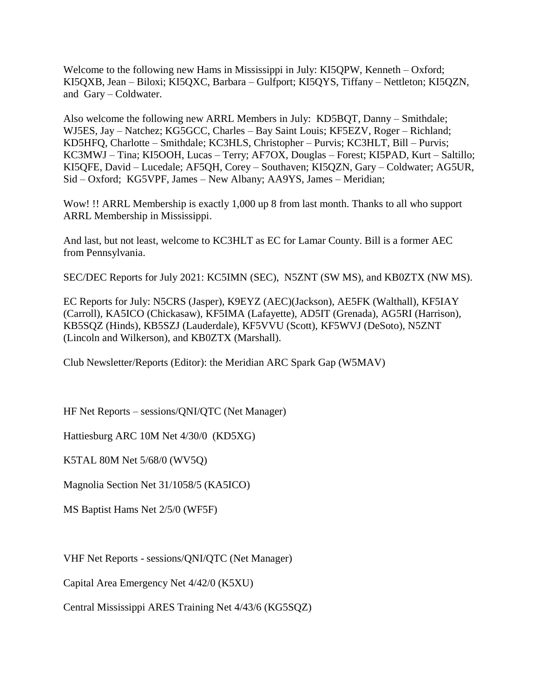Welcome to the following new Hams in Mississippi in July: KI5QPW, Kenneth – Oxford; KI5QXB, Jean – Biloxi; KI5QXC, Barbara – Gulfport; KI5QYS, Tiffany – Nettleton; KI5QZN, and Gary – Coldwater.

Also welcome the following new ARRL Members in July: KD5BQT, Danny – Smithdale; WJ5ES, Jay – Natchez; KG5GCC, Charles – Bay Saint Louis; KF5EZV, Roger – Richland; KD5HFQ, Charlotte – Smithdale; KC3HLS, Christopher – Purvis; KC3HLT, Bill – Purvis; KC3MWJ – Tina; KI5OOH, Lucas – Terry; AF7OX, Douglas – Forest; KI5PAD, Kurt – Saltillo; KI5QFE, David – Lucedale; AF5QH, Corey – Southaven; KI5QZN, Gary – Coldwater; AG5UR, Sid – Oxford; KG5VPF, James – New Albany; AA9YS, James – Meridian;

Wow! !! ARRL Membership is exactly 1,000 up 8 from last month. Thanks to all who support ARRL Membership in Mississippi.

And last, but not least, welcome to KC3HLT as EC for Lamar County. Bill is a former AEC from Pennsylvania.

SEC/DEC Reports for July 2021: KC5IMN (SEC), N5ZNT (SW MS), and KB0ZTX (NW MS).

EC Reports for July: N5CRS (Jasper), K9EYZ (AEC)(Jackson), AE5FK (Walthall), KF5IAY (Carroll), KA5ICO (Chickasaw), KF5IMA (Lafayette), AD5IT (Grenada), AG5RI (Harrison), KB5SQZ (Hinds), KB5SZJ (Lauderdale), KF5VVU (Scott), KF5WVJ (DeSoto), N5ZNT (Lincoln and Wilkerson), and KB0ZTX (Marshall).

Club Newsletter/Reports (Editor): the Meridian ARC Spark Gap (W5MAV)

HF Net Reports – sessions/QNI/QTC (Net Manager)

Hattiesburg ARC 10M Net 4/30/0 (KD5XG)

K5TAL 80M Net 5/68/0 (WV5Q)

Magnolia Section Net 31/1058/5 (KA5ICO)

MS Baptist Hams Net 2/5/0 (WF5F)

VHF Net Reports - sessions/QNI/QTC (Net Manager)

Capital Area Emergency Net 4/42/0 (K5XU)

Central Mississippi ARES Training Net 4/43/6 (KG5SQZ)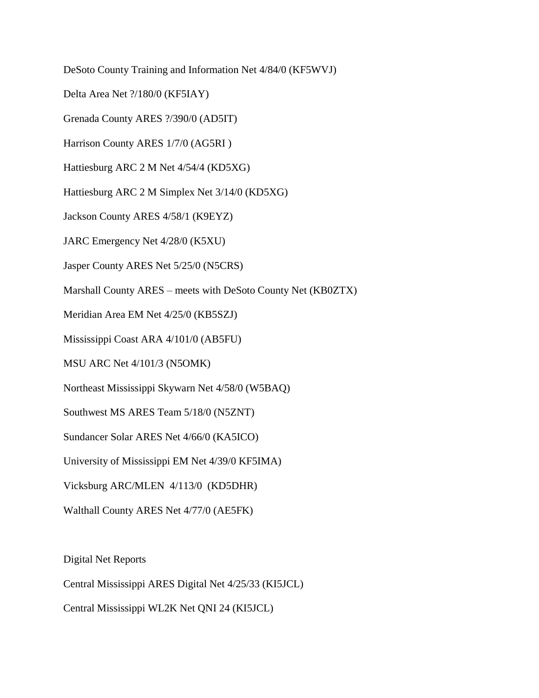DeSoto County Training and Information Net 4/84/0 (KF5WVJ)

Delta Area Net ?/180/0 (KF5IAY)

Grenada County ARES ?/390/0 (AD5IT)

Harrison County ARES 1/7/0 (AG5RI )

Hattiesburg ARC 2 M Net 4/54/4 (KD5XG)

Hattiesburg ARC 2 M Simplex Net 3/14/0 (KD5XG)

Jackson County ARES 4/58/1 (K9EYZ)

JARC Emergency Net 4/28/0 (K5XU)

Jasper County ARES Net 5/25/0 (N5CRS)

Marshall County ARES – meets with DeSoto County Net (KB0ZTX)

Meridian Area EM Net 4/25/0 (KB5SZJ)

Mississippi Coast ARA 4/101/0 (AB5FU)

MSU ARC Net 4/101/3 (N5OMK)

Northeast Mississippi Skywarn Net 4/58/0 (W5BAQ)

Southwest MS ARES Team 5/18/0 (N5ZNT)

Sundancer Solar ARES Net 4/66/0 (KA5ICO)

University of Mississippi EM Net 4/39/0 KF5IMA)

Vicksburg ARC/MLEN 4/113/0 (KD5DHR)

Walthall County ARES Net 4/77/0 (AE5FK)

Digital Net Reports

Central Mississippi ARES Digital Net 4/25/33 (KI5JCL)

Central Mississippi WL2K Net QNI 24 (KI5JCL)